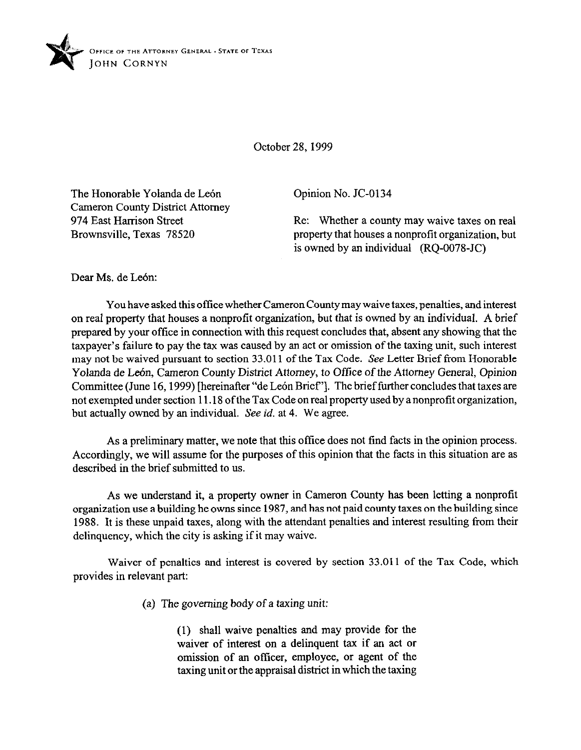

October 28, 1999

The Honorable Yolanda de León Cameron County District Attorney 974 East Harrison Street Brownsville. Texas 78520

Opinion No. JC-0134

Re: Whether a county may waive taxes on real property that houses a nonprofit organization, but is owned by an individual  $(RQ-0078-JC)$ 

Dear Ms. de León:

You have asked this office whether Cameron County may waive taxes, penalties, and interest on real property that houses a nonprofit organization, but that is owned by an individual. A brief prepared by your office in connection with this request concludes that, absent any showing that the taxpayer's failure to pay the tax was caused by an act or omission of the taxing unit, such interest may not be waived pursuant to section 33.011 of the Tax Code. See Letter Brief from Honorable Yolanda de León, Cameron County District Attorney, to Office of the Attorney General, Opinion Committee (June 16, 1999) [hereinafter "de León Brief"]. The brief further concludes that taxes are not exempted under section 11.18 ofthe Tax Code on real property used by anonprofit organization, but actually owned by an individual. See id. at 4. We agree.

As a preliminary matter, we note that this office does not find facts in the opinion process. Accordingly, we will assume for the purposes of this opinion that the facts in this situation are as described in the brief submitted to us.

As we understand it, a property owner in Cameron County has been letting a nonprofit organization use a building he owns since 1987, and has not paid county taxes on the building since 1988. It is these unpaid taxes, along with the attendant penalties and interest resulting from their delinquency, which the city is asking if it may waive.

Waiver of penalties and interest is covered by section 33.011 of the Tax Code, which provides in relevant part:

(a) The governing body of a taxing unit:

(1) shall waive penalties and may provide for the waiver of interest on a delinquent tax if an act or omission of an officer, employee, or agent of the taxing unit or the appraisal district in which the taxing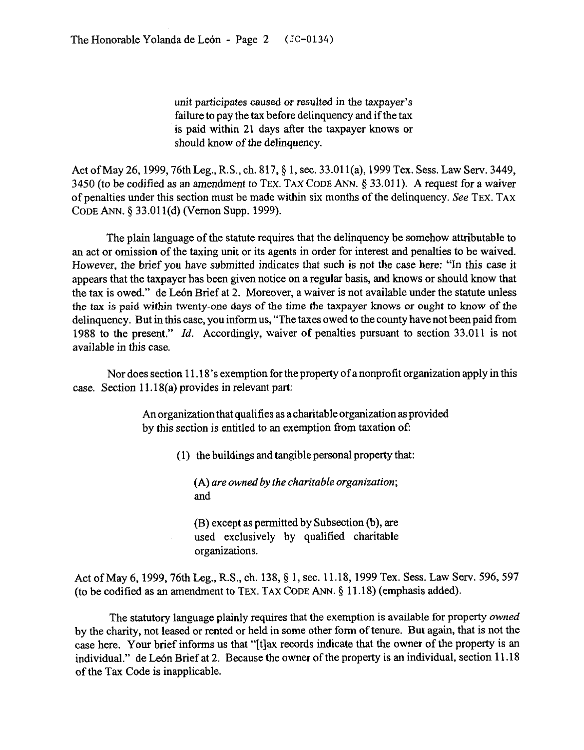unit participates caused or resulted in the taxpayer's failure to pay the tax before delinquency and if the tax is paid within 21 days after the taxpayer knows or should know of the delinquency.

Act of May 26, 1999, 76th Leg., R.S., ch. 817, § 1, sec. 33.011(a), 1999 Tex. Sess. Law Serv. 3449, 3450 (to be codified as an amendment to TEX. TAX CODE ANN. 5 33.011). A request for a waiver of penalties under this section must be made within six months of the delinquency. See **TEX. TAX CODE** ANN. 5 33.011(d) (Vernon Supp. 1999).

The plain language of the statute requires that the delinquency be somehow attributable to an act or omission of the taxing unit or its agents in order for interest and penalties to be waived. However, the brief you have submitted indicates that such is not the case here: "In this case it appears that the taxpayer has been given notice on a regular basis, and knows or should know that the tax is owed." de León Brief at 2. Moreover, a waiver is not available under the statute unless the tax is paid within twenty-one days of the time the taxpayer knows or ought to know of the delinquency. But in this case, you inform us, "The taxes owed to the county have not been paid from 1988 to the present." *Id.* Accordingly, waiver of penalties pursuant to section 33.011 is not available in this case.

Nor does section 11.18's exemption for the property of a nonprofit organization apply in this case. Section 11.18(a) provides in relevant part:

> An organization that qualifies as a charitable organization as provided by this section is entitled to an exemption from taxation of

> > (1) the buildings and tangible personal property that:

(A) *are owned by the charitable organization;*  and

(B) except as permitted by Subsection(b), are used exclusively by qualified charitable organizations.

Act of May 6, 1999, 76th Leg., R.S., ch. 138, § 1, sec. 11.18, 1999 Tex. Sess. Law Serv. 596, 597 (to be codified as an amendment to **TEX. TAX CODE** ANN. 5 11.18) (emphasis added).

The statutory language plainly requires that the exemption is available for property *owned*  by the charity, not leased or rented or held in some other form of tenure. But again, that is not the case here. Your brief informs us that "[t]ax records indicate that the owner of the property is an individual." de León Brief at 2. Because the owner of the property is an individual, section 11.18 of the Tax Code is inapplicable.